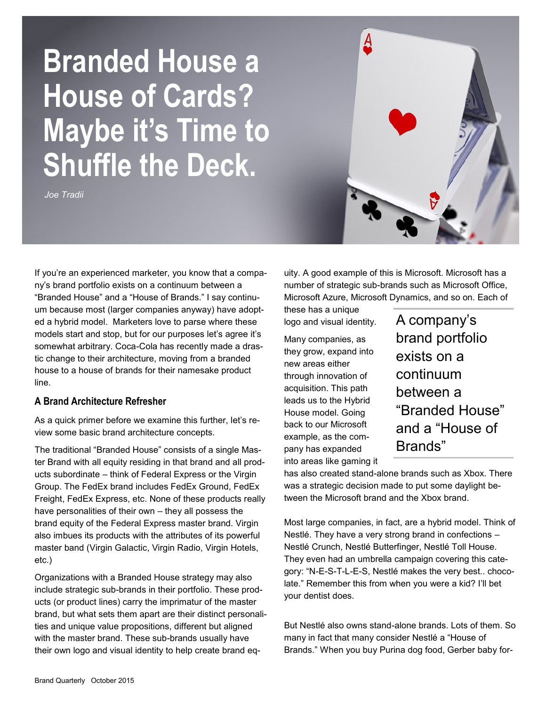# **Branded House a House of Cards? Maybe it's Time to Shuffle the Deck.**

*Joe Tradii*

If you're an experienced marketer, you know that a company's brand portfolio exists on a continuum between a "Branded House" and a "House of Brands." I say continuum because most (larger companies anyway) have adopted a hybrid model. Marketers love to parse where these models start and stop, but for our purposes let's agree it's somewhat arbitrary. Coca-Cola has recently made a drastic change to their architecture, moving from a branded house to a house of brands for their namesake product line.

#### **A Brand Architecture Refresher**

As a quick primer before we examine this further, let's review some basic brand architecture concepts.

The traditional "Branded House" consists of a single Master Brand with all equity residing in that brand and all products subordinate – think of Federal Express or the Virgin Group. The FedEx brand includes FedEx Ground, FedEx Freight, FedEx Express, etc. None of these products really have personalities of their own – they all possess the brand equity of the Federal Express master brand. Virgin also imbues its products with the attributes of its powerful master band (Virgin Galactic, Virgin Radio, Virgin Hotels, etc.)

Organizations with a Branded House strategy may also include strategic sub-brands in their portfolio. These products (or product lines) carry the imprimatur of the master brand, but what sets them apart are their distinct personalities and unique value propositions, different but aligned with the master brand. These sub-brands usually have their own logo and visual identity to help create brand equity. A good example of this is Microsoft. Microsoft has a number of strategic sub-brands such as Microsoft Office, Microsoft Azure, Microsoft Dynamics, and so on. Each of

Ą

these has a unique logo and visual identity.

Many companies, as they grow, expand into new areas either through innovation of acquisition. This path leads us to the Hybrid House model. Going back to our Microsoft example, as the company has expanded into areas like gaming it A company's brand portfolio exists on a continuum between a "Branded House" and a "House of Brands"

has also created stand-alone brands such as Xbox. There was a strategic decision made to put some daylight between the Microsoft brand and the Xbox brand.

Most large companies, in fact, are a hybrid model. Think of Nestlé. They have a very strong brand in confections – Nestlé Crunch, Nestlé Butterfinger, Nestlé Toll House. They even had an umbrella campaign covering this category: "N-E-S-T-L-E-S, Nestlé makes the very best.. chocolate." Remember this from when you were a kid? I'll bet your dentist does.

But Nestlé also owns stand-alone brands. Lots of them. So many in fact that many consider Nestlé a "House of Brands." When you buy Purina dog food, Gerber baby for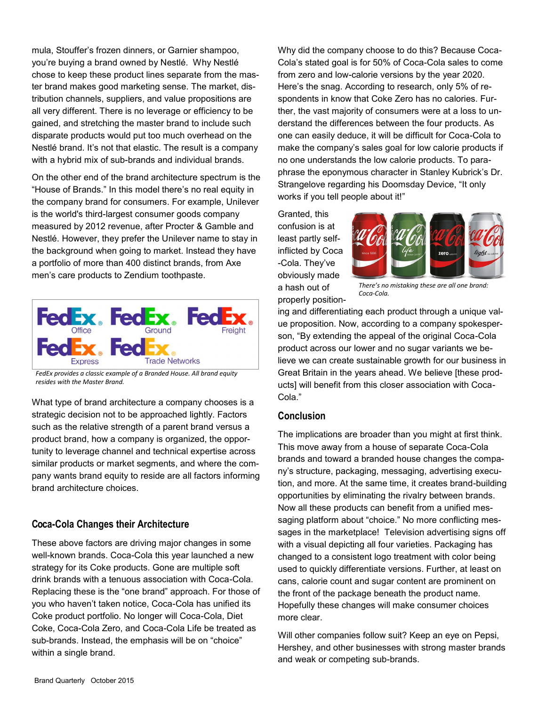mula, Stouffer's frozen dinners, or Garnier shampoo, you're buying a brand owned by Nestlé. Why Nestlé chose to keep these product lines separate from the master brand makes good marketing sense. The market, distribution channels, suppliers, and value propositions are all very different. There is no leverage or efficiency to be gained, and stretching the master brand to include such disparate products would put too much overhead on the Nestlé brand. It's not that elastic. The result is a company with a hybrid mix of sub-brands and individual brands.

On the other end of the brand architecture spectrum is the "House of Brands." In this model there's no real equity in the company brand for consumers. For example, Unilever is the world's third-largest consumer goods company measured by 2012 revenue, after Procter & Gamble and Nestlé. However, they prefer the Unilever name to stay in the background when going to market. Instead they have a portfolio of more than 400 distinct brands, from Axe men's care products to Zendium toothpaste.



*FedEx provides a classic example of a Branded House. All brand equity resides with the Master Brand.*

What type of brand architecture a company chooses is a strategic decision not to be approached lightly. Factors such as the relative strength of a parent brand versus a product brand, how a company is organized, the opportunity to leverage channel and technical expertise across similar products or market segments, and where the company wants brand equity to reside are all factors informing brand architecture choices.

#### **Coca-Cola Changes their Architecture**

These above factors are driving major changes in some well-known brands. Coca-Cola this year launched a new strategy for its Coke products. Gone are multiple soft drink brands with a tenuous association with Coca-Cola. Replacing these is the "one brand" approach. For those of you who haven't taken notice, Coca-Cola has unified its Coke product portfolio. No longer will Coca-Cola, Diet Coke, Coca-Cola Zero, and Coca-Cola Life be treated as sub-brands. Instead, the emphasis will be on "choice" within a single brand.

Why did the company choose to do this? Because Coca-Cola's stated goal is for 50% of Coca-Cola sales to come from zero and low-calorie versions by the year 2020. Here's the snag. According to research, only 5% of respondents in know that Coke Zero has no calories. Further, the vast majority of consumers were at a loss to understand the differences between the four products. As one can easily deduce, it will be difficult for Coca-Cola to make the company's sales goal for low calorie products if no one understands the low calorie products. To paraphrase the eponymous character in Stanley Kubrick's Dr. Strangelove regarding his Doomsday Device, "It only works if you tell people about it!"

Granted, this confusion is at least partly selfinflicted by Coca -Cola. They've obviously made a hash out of properly position-



*There's no mistaking these are all one brand: Coca-Cola.* 

ing and differentiating each product through a unique value proposition. Now, according to a company spokesperson, "By extending the appeal of the original Coca-Cola product across our lower and no sugar variants we believe we can create sustainable growth for our business in Great Britain in the years ahead. We believe [these products] will benefit from this closer association with Coca-Cola."

#### **Conclusion**

The implications are broader than you might at first think. This move away from a house of separate Coca-Cola brands and toward a branded house changes the company's structure, packaging, messaging, advertising execution, and more. At the same time, it creates brand-building opportunities by eliminating the rivalry between brands. Now all these products can benefit from a unified messaging platform about "choice." No more conflicting messages in the marketplace! Television advertising signs off with a visual depicting all four varieties. Packaging has changed to a consistent logo treatment with color being used to quickly differentiate versions. Further, at least on cans, calorie count and sugar content are prominent on the front of the package beneath the product name. Hopefully these changes will make consumer choices more clear.

Will other companies follow suit? Keep an eye on Pepsi, Hershey, and other businesses with strong master brands and weak or competing sub-brands.